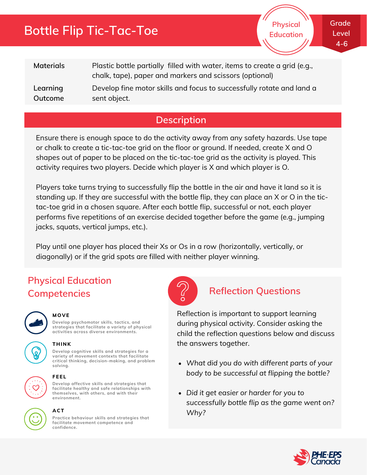# **Bottle Flip Tic-Tac-Toe**

**Physical Education** **Grade Level 4-6**

| <b>Materials</b> | Plastic bottle partially filled with water, items to create a grid (e.g.,<br>chalk, tape), paper and markers and scissors (optional) |
|------------------|--------------------------------------------------------------------------------------------------------------------------------------|
| Learning         | Develop fine motor skills and focus to successfully rotate and land a                                                                |
| Outcome          | sent object.                                                                                                                         |

## **Description**

Ensure there is enough space to do the activity away from any safety hazards. Use tape or chalk to create a tic-tac-toe grid on the floor or ground. If needed, create X and O shapes out of paper to be placed on the tic-tac-toe grid as the activity is played. This activity requires two players. Decide which player is X and which player is O.

Players take turns trying to successfully flip the bottle in the air and have it land so it is standing up. If they are successful with the bottle flip, they can place an X or O in the tictac-toe grid in a chosen square. After each bottle flip, successful or not, each player performs five repetitions of an exercise decided together before the game (e.g., jumping jacks, squats, vertical jumps, etc.).

Play until one player has placed their Xs or Os in a row (horizontally, vertically, or diagonally) or if the grid spots are filled with neither player winning.

## **Physical Education Competencies Reflection Questions**



### **MOVE**

**Develop psychomotor skills, tactics, and strategies that facilitate a variety of physical activities across diverse environments.**

**Develop cognitive skills and strategies for a variety of movement contexts that facilitate critical thinking, decision-making, and problem**



**THINK**





### **solving. FEEL**

**Develop affective skills and strategies that facilitate healthy and safe relationships with themselves, with others, and with their environment.**



### **ACT**

**Practice behaviour skills and strategies that facilitate movement competence and confidence.**



Reflection is important to support learning during physical activity. Consider asking the child the reflection questions below and discuss the answers together.

- *What did you do with different parts of your body to be successful at flipping the bottle?*
- *Did it get easier or harder for you to successfully bottle flip as the game went on? Why?*